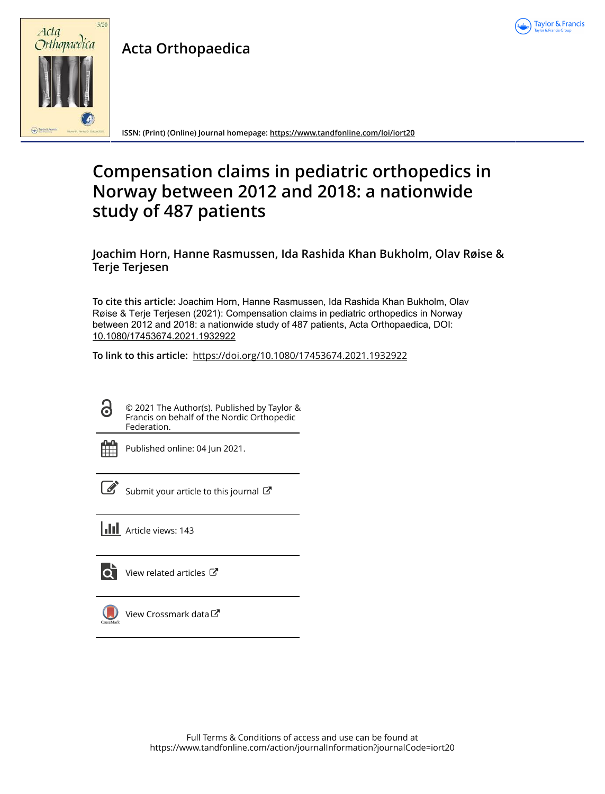

**Acta Orthopaedica**



**ISSN: (Print) (Online) Journal homepage:<https://www.tandfonline.com/loi/iort20>**

# **Compensation claims in pediatric orthopedics in Norway between 2012 and 2018: a nationwide study of 487 patients**

**Joachim Horn, Hanne Rasmussen, Ida Rashida Khan Bukholm, Olav Røise & Terje Terjesen**

**To cite this article:** Joachim Horn, Hanne Rasmussen, Ida Rashida Khan Bukholm, Olav Røise & Terje Terjesen (2021): Compensation claims in pediatric orthopedics in Norway between 2012 and 2018: a nationwide study of 487 patients, Acta Orthopaedica, DOI: [10.1080/17453674.2021.1932922](https://www.tandfonline.com/action/showCitFormats?doi=10.1080/17453674.2021.1932922)

**To link to this article:** <https://doi.org/10.1080/17453674.2021.1932922>

ര

© 2021 The Author(s). Published by Taylor & Francis on behalf of the Nordic Orthopedic Federation.



Published online: 04 Jun 2021.

| ł<br>۰. |  |
|---------|--|
|         |  |

[Submit your article to this journal](https://www.tandfonline.com/action/authorSubmission?journalCode=iort20&show=instructions)  $\mathbb{Z}$ 

**III** Article views: 143



[View related articles](https://www.tandfonline.com/doi/mlt/10.1080/17453674.2021.1932922) C



[View Crossmark data](http://crossmark.crossref.org/dialog/?doi=10.1080/17453674.2021.1932922&domain=pdf&date_stamp=2021-06-04) $C$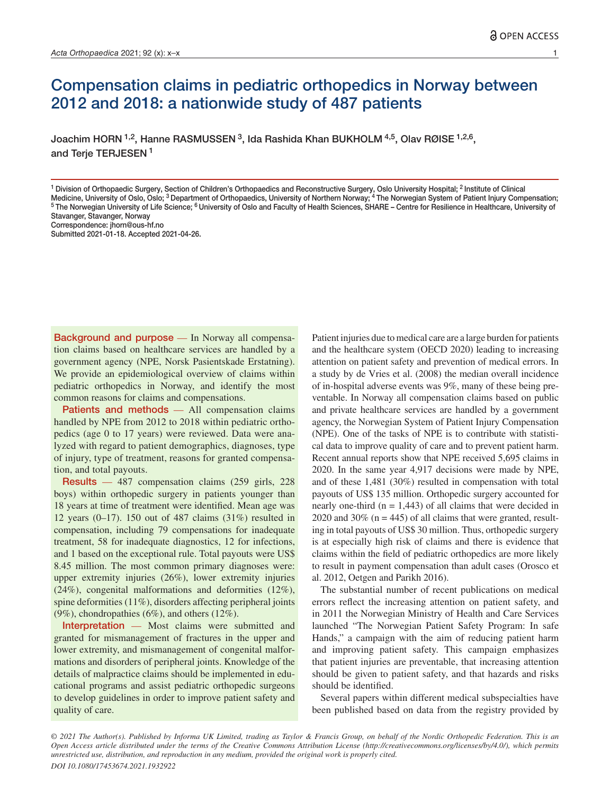# Compensation claims in pediatric orthopedics in Norway between 2012 and 2018: a nationwide study of 487 patients

Joachim HORN 1,2, Hanne RASMUSSEN 3, Ida Rashida Khan BUKHOLM 4,5, Olav RØISE 1,2,6, and Terje TERJESEN<sup>1</sup>

<sup>1</sup> Division of Orthopaedic Surgery, Section of Children's Orthopaedics and Reconstructive Surgery, Oslo University Hospital; <sup>2</sup> Institute of Clinical<br>Medicine, University of Oslo, Oslo; <sup>3</sup> Department of Orthopaedics, Un <sup>5</sup> The Norwegian University of Life Science; <sup>6</sup> University of Oslo and Faculty of Health Sciences, SHARE - Centre for Resilience in Healthcare, University of Stavanger, Stavanger, Norway

Background and purpose — In Norway all compensation claims based on healthcare services are handled by a government agency (NPE, Norsk Pasientskade Erstatning). We provide an epidemiological overview of claims within pediatric orthopedics in Norway, and identify the most common reasons for claims and compensations.

Patients and methods — All compensation claims handled by NPE from 2012 to 2018 within pediatric orthopedics (age 0 to 17 years) were reviewed. Data were analyzed with regard to patient demographics, diagnoses, type of injury, type of treatment, reasons for granted compensation, and total payouts.

Results — 487 compensation claims (259 girls, 228 boys) within orthopedic surgery in patients younger than 18 years at time of treatment were identified. Mean age was 12 years (0–17). 150 out of 487 claims (31%) resulted in compensation, including 79 compensations for inadequate treatment, 58 for inadequate diagnostics, 12 for infections, and 1 based on the exceptional rule. Total payouts were US\$ 8.45 million. The most common primary diagnoses were: upper extremity injuries (26%), lower extremity injuries (24%), congenital malformations and deformities (12%), spine deformities (11%), disorders affecting peripheral joints (9%), chondropathies (6%), and others (12%).

Interpretation — Most claims were submitted and granted for mismanagement of fractures in the upper and lower extremity, and mismanagement of congenital malformations and disorders of peripheral joints. Knowledge of the details of malpractice claims should be implemented in educational programs and assist pediatric orthopedic surgeons to develop guidelines in order to improve patient safety and quality of care.

Patient injuries due to medical care are a large burden for patients and the healthcare system (OECD 2020) leading to increasing attention on patient safety and prevention of medical errors. In a study by de Vries et al. (2008) the median overall incidence of in-hospital adverse events was 9%, many of these being preventable. In Norway all compensation claims based on public and private healthcare services are handled by a government agency, the Norwegian System of Patient Injury Compensation (NPE). One of the tasks of NPE is to contribute with statistical data to improve quality of care and to prevent patient harm. Recent annual reports show that NPE received 5,695 claims in 2020. In the same year 4,917 decisions were made by NPE, and of these 1,481 (30%) resulted in compensation with total payouts of US\$ 135 million. Orthopedic surgery accounted for nearly one-third ( $n = 1,443$ ) of all claims that were decided in 2020 and 30% ( $n = 445$ ) of all claims that were granted, resulting in total payouts of US\$ 30 million. Thus, orthopedic surgery is at especially high risk of claims and there is evidence that claims within the field of pediatric orthopedics are more likely to result in payment compensation than adult cases (Orosco et al. 2012, Oetgen and Parikh 2016).

The substantial number of recent publications on medical errors reflect the increasing attention on patient safety, and in 2011 the Norwegian Ministry of Health and Care Services launched "The Norwegian Patient Safety Program: In safe Hands," a campaign with the aim of reducing patient harm and improving patient safety. This campaign emphasizes that patient injuries are preventable, that increasing attention should be given to patient safety, and that hazards and risks should be identified.

Several papers within different medical subspecialties have been published based on data from the registry provided by

*© 2021 The Author(s). Published by Informa UK Limited, trading as Taylor & Francis Group, on behalf of the Nordic Orthopedic Federation. This is an Open Access article distributed under the terms of the Creative Commons Attribution License (http://creativecommons.org/licenses/by/4.0/), which permits unrestricted use, distribution, and reproduction in any medium, provided the original work is properly cited. DOI 10.1080/17453674.2021.1932922*

Correspondence: jhorn@ous-hf.no

Submitted 2021-01-18. Accepted 2021-04-26.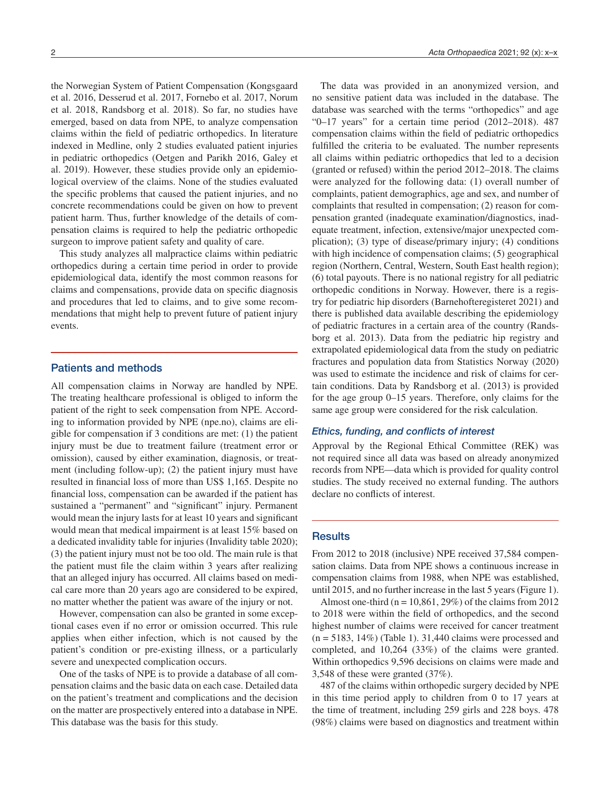the Norwegian System of Patient Compensation (Kongsgaard et al. 2016, Desserud et al. 2017, Fornebo et al. 2017, Norum et al. 2018, Randsborg et al. 2018). So far, no studies have emerged, based on data from NPE, to analyze compensation claims within the field of pediatric orthopedics. In literature indexed in Medline, only 2 studies evaluated patient injuries in pediatric orthopedics (Oetgen and Parikh 2016, Galey et al. 2019). However, these studies provide only an epidemiological overview of the claims. None of the studies evaluated the specific problems that caused the patient injuries, and no concrete recommendations could be given on how to prevent patient harm. Thus, further knowledge of the details of compensation claims is required to help the pediatric orthopedic surgeon to improve patient safety and quality of care.

This study analyzes all malpractice claims within pediatric orthopedics during a certain time period in order to provide epidemiological data, identify the most common reasons for claims and compensations, provide data on specific diagnosis and procedures that led to claims, and to give some recommendations that might help to prevent future of patient injury events.

## Patients and methods

All compensation claims in Norway are handled by NPE. The treating healthcare professional is obliged to inform the patient of the right to seek compensation from NPE. According to information provided by NPE (npe.no), claims are eligible for compensation if 3 conditions are met: (1) the patient injury must be due to treatment failure (treatment error or omission), caused by either examination, diagnosis, or treatment (including follow-up); (2) the patient injury must have resulted in financial loss of more than US\$ 1,165. Despite no financial loss, compensation can be awarded if the patient has sustained a "permanent" and "significant" injury. Permanent would mean the injury lasts for at least 10 years and significant would mean that medical impairment is at least 15% based on a dedicated invalidity table for injuries (Invalidity table 2020); (3) the patient injury must not be too old. The main rule is that the patient must file the claim within 3 years after realizing that an alleged injury has occurred. All claims based on medical care more than 20 years ago are considered to be expired, no matter whether the patient was aware of the injury or not.

However, compensation can also be granted in some exceptional cases even if no error or omission occurred. This rule applies when either infection, which is not caused by the patient's condition or pre-existing illness, or a particularly severe and unexpected complication occurs.

One of the tasks of NPE is to provide a database of all compensation claims and the basic data on each case. Detailed data on the patient's treatment and complications and the decision on the matter are prospectively entered into a database in NPE. This database was the basis for this study.

The data was provided in an anonymized version, and no sensitive patient data was included in the database. The database was searched with the terms "orthopedics" and age "0–17 years" for a certain time period (2012–2018). 487 compensation claims within the field of pediatric orthopedics fulfilled the criteria to be evaluated. The number represents all claims within pediatric orthopedics that led to a decision (granted or refused) within the period 2012–2018. The claims were analyzed for the following data: (1) overall number of complaints, patient demographics, age and sex, and number of complaints that resulted in compensation; (2) reason for compensation granted (inadequate examination/diagnostics, inadequate treatment, infection, extensive/major unexpected complication); (3) type of disease/primary injury; (4) conditions with high incidence of compensation claims; (5) geographical region (Northern, Central, Western, South East health region); (6) total payouts. There is no national registry for all pediatric orthopedic conditions in Norway. However, there is a registry for pediatric hip disorders (Barnehofteregisteret 2021) and there is published data available describing the epidemiology of pediatric fractures in a certain area of the country (Randsborg et al. 2013). Data from the pediatric hip registry and extrapolated epidemiological data from the study on pediatric fractures and population data from Statistics Norway (2020) was used to estimate the incidence and risk of claims for certain conditions. Data by Randsborg et al. (2013) is provided for the age group 0–15 years. Therefore, only claims for the same age group were considered for the risk calculation.

#### *Ethics, funding, and conflicts of interest*

Approval by the Regional Ethical Committee (REK) was not required since all data was based on already anonymized records from NPE—data which is provided for quality control studies. The study received no external funding. The authors declare no conflicts of interest.

## **Results**

From 2012 to 2018 (inclusive) NPE received 37,584 compensation claims. Data from NPE shows a continuous increase in compensation claims from 1988, when NPE was established, until 2015, and no further increase in the last 5 years (Figure 1).

Almost one-third ( $n = 10,861,29\%$ ) of the claims from 2012 to 2018 were within the field of orthopedics, and the second highest number of claims were received for cancer treatment  $(n = 5183, 14\%)$  (Table 1). 31,440 claims were processed and completed, and 10,264 (33%) of the claims were granted. Within orthopedics 9,596 decisions on claims were made and 3,548 of these were granted (37%).

487 of the claims within orthopedic surgery decided by NPE in this time period apply to children from 0 to 17 years at the time of treatment, including 259 girls and 228 boys. 478 (98%) claims were based on diagnostics and treatment within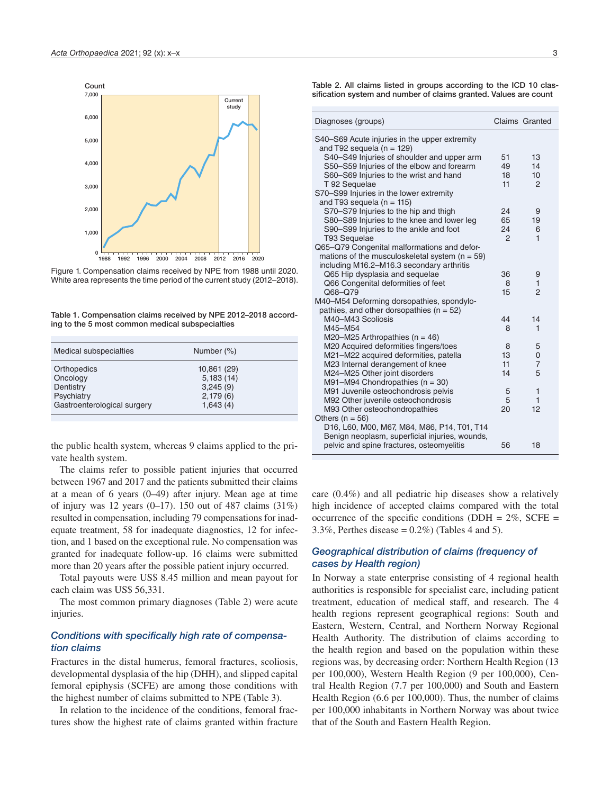

Figure 1. Compensation claims received by NPE from 1988 until 2020. White area represents the time period of the current study (2012–2018).

| Table 1. Compensation claims received by NPE 2012-2018 accord- |  |
|----------------------------------------------------------------|--|
| ing to the 5 most common medical subspecialties                |  |

| Medical subspecialties                                                            | Number (%)                                                   |  |
|-----------------------------------------------------------------------------------|--------------------------------------------------------------|--|
| Orthopedics<br>Oncology<br>Dentistry<br>Psychiatry<br>Gastroenterological surgery | 10,861 (29)<br>5,183(14)<br>3,245(9)<br>2,179(6)<br>1,643(4) |  |
|                                                                                   |                                                              |  |

the public health system, whereas 9 claims applied to the private health system.

The claims refer to possible patient injuries that occurred between 1967 and 2017 and the patients submitted their claims at a mean of 6 years (0–49) after injury. Mean age at time of injury was 12 years  $(0-17)$ . 150 out of 487 claims  $(31\%)$ resulted in compensation, including 79 compensations for inadequate treatment, 58 for inadequate diagnostics, 12 for infection, and 1 based on the exceptional rule. No compensation was granted for inadequate follow-up. 16 claims were submitted more than 20 years after the possible patient injury occurred.

Total payouts were US\$ 8.45 million and mean payout for each claim was US\$ 56,331.

The most common primary diagnoses (Table 2) were acute injuries.

#### *Conditions with specifically high rate of compensation claims*

Fractures in the distal humerus, femoral fractures, scoliosis, developmental dysplasia of the hip (DHH), and slipped capital femoral epiphysis (SCFE) are among those conditions with the highest number of claims submitted to NPE (Table 3).

In relation to the incidence of the conditions, femoral fractures show the highest rate of claims granted within fracture

Table 2. All claims listed in groups according to the ICD 10 classification system and number of claims granted. Values are count

| Diagnoses (groups)                                 |               | Claims Granted   |
|----------------------------------------------------|---------------|------------------|
| S40–S69 Acute injuries in the upper extremity      |               |                  |
| and T92 sequela ( $n = 129$ )                      |               |                  |
| S40-S49 Injuries of shoulder and upper arm         | 51            | 13               |
| S50-S59 Injuries of the elbow and forearm          | 49            | 14               |
| S60-S69 Injuries to the wrist and hand             | 18            | 10 <sup>10</sup> |
| T 92 Sequelae                                      | 11            | 2                |
| S70-S99 Injuries in the lower extremity            |               |                  |
| and T93 sequela ( $n = 115$ )                      |               |                  |
| S70–S79 Injuries to the hip and thigh              | 24            | 9                |
| S80-S89 Injuries to the knee and lower leg         | 65            | 19               |
| S90-S99 Injuries to the ankle and foot             | 24            | 6                |
| T93 Sequelae                                       | $\mathcal{P}$ | $\mathbf{1}$     |
| Q65-Q79 Congenital malformations and defor-        |               |                  |
| mations of the musculoskeletal system ( $n = 59$ ) |               |                  |
| including M16.2-M16.3 secondary arthritis          |               |                  |
| Q65 Hip dysplasia and sequelae                     | 36            | 9                |
| Q66 Congenital deformities of feet                 | 8             | 1                |
| Q68-Q79                                            | 15            | $\overline{2}$   |
| M40-M54 Deforming dorsopathies, spondylo-          |               |                  |
| pathies, and other dorsopathies ( $n = 52$ )       |               |                  |
| M40-M43 Scoliosis                                  | 44            | 14               |
| M45-M54                                            | 8             | 1                |
| M20-M25 Arthropathies $(n = 46)$                   |               |                  |
| M20 Acquired deformities fingers/toes              | 8             | 5                |
| M21-M22 acquired deformities, patella              | 13            | 0                |
| M23 Internal derangement of knee                   | 11            | $\overline{7}$   |
| M24-M25 Other joint disorders                      | 14            | 5                |
| M91-M94 Chondropathies $(n = 30)$                  |               |                  |
| M91 Juvenile osteochondrosis pelvis                | 5             | $\mathbf{1}$     |
| M92 Other juvenile osteochondrosis                 | 5             | 1                |
| M93 Other osteochondropathies                      | 20            | 12               |
| Others $(n = 56)$                                  |               |                  |
| D16, L60, M00, M67, M84, M86, P14, T01, T14        |               |                  |
| Benign neoplasm, superficial injuries, wounds,     |               |                  |
| pelvic and spine fractures, osteomyelitis          | 56            | 18               |
|                                                    |               |                  |

care (0.4%) and all pediatric hip diseases show a relatively high incidence of accepted claims compared with the total occurrence of the specific conditions (DDH =  $2\%$ , SCFE = 3.3%, Perthes disease =  $0.2\%$ ) (Tables 4 and 5).

## *Geographical distribution of claims (frequency of cases by Health region)*

In Norway a state enterprise consisting of 4 regional health authorities is responsible for specialist care, including patient treatment, education of medical staff, and research. The 4 health regions represent geographical regions: South and Eastern, Western, Central, and Northern Norway Regional Health Authority. The distribution of claims according to the health region and based on the population within these regions was, by decreasing order: Northern Health Region (13 per 100,000), Western Health Region (9 per 100,000), Central Health Region (7.7 per 100,000) and South and Eastern Health Region (6.6 per 100,000). Thus, the number of claims per 100,000 inhabitants in Northern Norway was about twice that of the South and Eastern Health Region.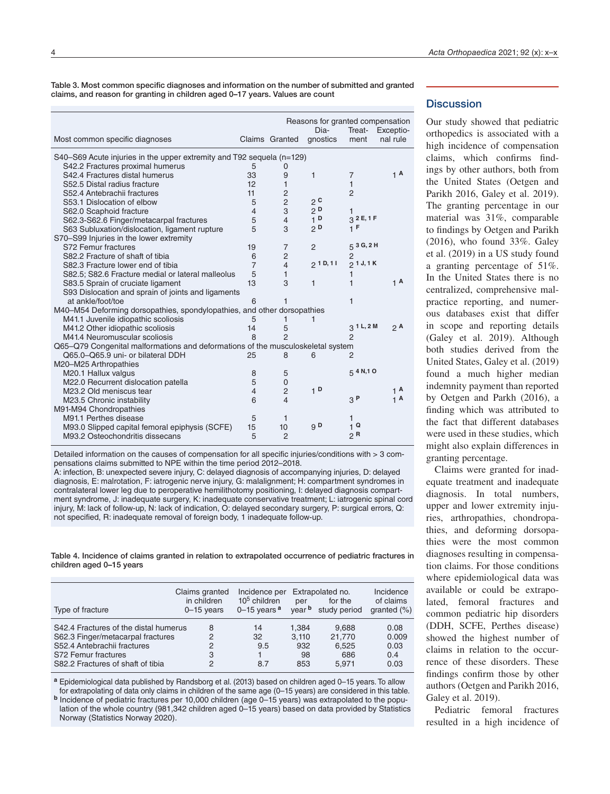Table 3. Most common specific diagnoses and information on the number of submitted and granted claims, and reason for granting in children aged 0–17 years. Values are count

|                                                                                 |                |                          | Reasons for granted compensation<br>Dia- | Treat-         | Exceptio-        |
|---------------------------------------------------------------------------------|----------------|--------------------------|------------------------------------------|----------------|------------------|
| Most common specific diagnoses                                                  |                | Claims Granted           | qnostics                                 | ment           | nal rule         |
| S40–S69 Acute injuries in the upper extremity and T92 sequela (n=129)           |                |                          |                                          |                |                  |
| S42.2 Fractures proximal humerus                                                | 5              | 0                        |                                          |                |                  |
| S42.4 Fractures distal humerus                                                  | 33             | 9                        | 1                                        | $\overline{7}$ | 1 <sup>A</sup>   |
| S52.5 Distal radius fracture                                                    | 12             | 1                        |                                          | 1              |                  |
| S52.4 Antebrachii fractures                                                     | 11             | $\overline{c}$           |                                          | $\overline{2}$ |                  |
| S53.1 Dislocation of elbow                                                      | 5              | $\overline{c}$           | 2 <sup>c</sup>                           |                |                  |
| S62.0 Scaphoid fracture                                                         | $\overline{4}$ | 3                        | 2 <sup>D</sup>                           | 1              |                  |
| S62.3-S62.6 Finger/metacarpal fractures                                         | 5              | $\overline{4}$           | 1 <sub>D</sub>                           | 32E, 1F        |                  |
| S63 Subluxation/dislocation, ligament rupture                                   | 5              | 3                        | 2D                                       | 1 F            |                  |
| S70-S99 Injuries in the lower extremity                                         |                |                          |                                          |                |                  |
| S72 Femur fractures                                                             | 19             | $\overline{7}$           | $\overline{2}$                           | 5 3 G, 2 H     |                  |
| S82.2 Fracture of shaft of tibia                                                | 6              | $\overline{c}$           |                                          |                |                  |
| S82.3 Fracture lower end of tibia                                               | $\overline{7}$ | $\overline{\mathcal{L}}$ | 21D, 11                                  | 21J, 1K        |                  |
| S82.5; S82.6 Fracture medial or lateral malleolus                               | 5              | 1                        |                                          |                |                  |
| S83.5 Sprain of cruciate ligament                                               | 13             | 3                        | 1                                        | 1              | 1 <sup>A</sup>   |
| S93 Dislocation and sprain of joints and ligaments                              |                |                          |                                          |                |                  |
| at ankle/foot/toe                                                               | 6              | 1                        |                                          | 1              |                  |
| M40-M54 Deforming dorsopathies, spondylopathies, and other dorsopathies         |                |                          |                                          |                |                  |
| M41.1 Juvenile idiopathic scoliosis                                             | 5              | 1                        | 1                                        |                |                  |
| M41.2 Other idiopathic scoliosis                                                | 14             | 5                        |                                          | 3 1 L, 2 M     | 2 A              |
| M41.4 Neuromuscular scoliosis                                                   | 8              | $\overline{2}$           |                                          | 2              |                  |
| Q65-Q79 Congenital malformations and deformations of the musculoskeletal system |                |                          |                                          |                |                  |
| Q65.0-Q65.9 uni- or bilateral DDH                                               | 25             | 8                        | 6                                        | $\overline{2}$ |                  |
| M20-M25 Arthropathies                                                           |                |                          |                                          |                |                  |
| M20.1 Hallux valgus                                                             | 8              | 5                        |                                          | 5, 4 N, 1 O    |                  |
| M22.0 Recurrent dislocation patella                                             | 5              | $\mathbf 0$              |                                          |                |                  |
| M23.2 Old meniscus tear                                                         | $\overline{4}$ | $\overline{c}$           | 1 <sup>D</sup>                           |                | $1^{\mathsf{A}}$ |
| M23.5 Chronic instability                                                       | 6              | $\overline{4}$           |                                          | 3P             | 1 <sup>A</sup>   |
| M91-M94 Chondropathies                                                          |                |                          |                                          |                |                  |
| M91.1 Perthes disease                                                           | 5              | 1                        |                                          | 1              |                  |
| M93.0 Slipped capital femoral epiphysis (SCFE)                                  | 15             | 10                       | 9 <sub>D</sub>                           | 1 <sup>Q</sup> |                  |
| M93.2 Osteochondritis dissecans                                                 | 5              | $\overline{2}$           |                                          | $\mathsf{R}$   |                  |
|                                                                                 |                |                          |                                          |                |                  |

Detailed information on the causes of compensation for all specific injuries/conditions with > 3 compensations claims submitted to NPE within the time period 2012–2018.

A: infection, B: unexpected severe injury, C: delayed diagnosis of accompanying injuries, D: delayed diagnosis, E: malrotation, F: iatrogenic nerve injury, G: malalignment; H: compartment syndromes in contralateral lower leg due to peroperative hemilithotomy positioning, I: delayed diagnosis compartment syndrome, J: inadequate surgery, K: inadequate conservative treatment; L: iatrogenic spinal cord injury, M: lack of follow-up, N: lack of indication, O: delayed secondary surgery, P: surgical errors, Q: not specified, R: inadequate removal of foreign body, 1 inadequate follow-up.

Table 4. Incidence of claims granted in relation to extrapolated occurrence of pediatric fractures in children aged 0–15 years

| Type of fracture                                                                                                                                                      | Claims granted<br>in children<br>$0 - 15$ years | Incidence per<br>$105$ children<br>$0-15$ years $a$ | per<br>year b                      | Extrapolated no.<br>for the<br>study period | Incidence<br>of claims<br>granted $(\%)$ |
|-----------------------------------------------------------------------------------------------------------------------------------------------------------------------|-------------------------------------------------|-----------------------------------------------------|------------------------------------|---------------------------------------------|------------------------------------------|
| S42.4 Fractures of the distal humerus<br>S62.3 Finger/metacarpal fractures<br>S52.4 Antebrachii fractures<br>S72 Femur fractures<br>S82.2 Fractures of shaft of tibia | 8<br>2<br>2<br>3<br>2                           | 14<br>32<br>9.5<br>8.7                              | 1.384<br>3.110<br>932<br>98<br>853 | 9.688<br>21.770<br>6.525<br>686<br>5.971    | 0.08<br>0.009<br>0.03<br>0.4<br>0.03     |

**<sup>a</sup>** Epidemiological data published by Randsborg et al. (2013) based on children aged 0–15 years. To allow for extrapolating of data only claims in children of the same age (0–15 years) are considered in this table.

**<sup>b</sup>** Incidence of pediatric fractures per 10,000 children (age 0–15 years) was extrapolated to the population of the whole country (981,342 children aged 0–15 years) based on data provided by Statistics Norway (Statistics Norway 2020).

#### **Discussion**

Our study showed that pediatric orthopedics is associated with a high incidence of compensation claims, which confirms findings by other authors, both from the United States (Oetgen and Parikh 2016, Galey et al. 2019). The granting percentage in our material was 31%, comparable to findings by Oetgen and Parikh (2016), who found 33%. Galey et al. (2019) in a US study found a granting percentage of 51%. In the United States there is no centralized, comprehensive malpractice reporting, and numerous databases exist that differ in scope and reporting details (Galey et al. 2019). Although both studies derived from the United States, Galey et al. (2019) found a much higher median indemnity payment than reported by Oetgen and Parkh (2016), a finding which was attributed to the fact that different databases were used in these studies, which might also explain differences in granting percentage.

Claims were granted for inadequate treatment and inadequate diagnosis. In total numbers, upper and lower extremity injuries, arthropathies, chondropathies, and deforming dorsopathies were the most common diagnoses resulting in compensation claims. For those conditions where epidemiological data was available or could be extrapolated, femoral fractures and common pediatric hip disorders (DDH, SCFE, Perthes disease) showed the highest number of claims in relation to the occurrence of these disorders. These findings confirm those by other authors (Oetgen and Parikh 2016, Galey et al. 2019).

Pediatric femoral fractures resulted in a high incidence of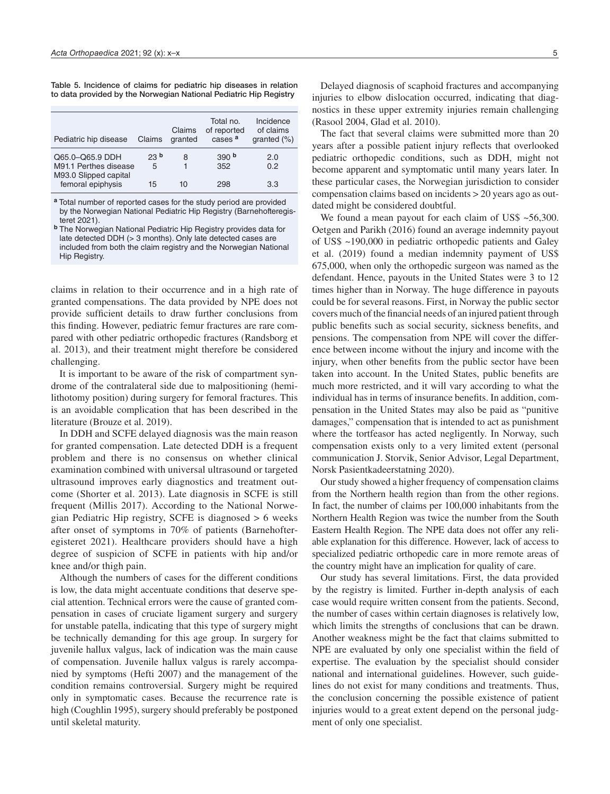Table 5. Incidence of claims for pediatric hip diseases in relation to data provided by the Norwegian National Pediatric Hip Registry

| Pediatric hip disease                                             | Claims               | Claims<br>granted | Total no.<br>of reported<br>cases <sup>a</sup> | Incidence<br>of claims<br>granted $(\%)$ |
|-------------------------------------------------------------------|----------------------|-------------------|------------------------------------------------|------------------------------------------|
| Q65.0-Q65.9 DDH<br>M91.1 Perthes disease<br>M93.0 Slipped capital | 23 <sup>b</sup><br>5 | 8                 | 390 <sup>b</sup><br>352                        | 2.0<br>0.2                               |
| femoral epiphysis                                                 | 15                   | 10                | 298                                            | 3.3                                      |

**<sup>a</sup>** Total number of reported cases for the study period are provided by the Norwegian National Pediatric Hip Registry (Barnehofteregisteret 2021).

claims in relation to their occurrence and in a high rate of granted compensations. The data provided by NPE does not provide sufficient details to draw further conclusions from this finding. However, pediatric femur fractures are rare compared with other pediatric orthopedic fractures (Randsborg et al. 2013), and their treatment might therefore be considered challenging.

It is important to be aware of the risk of compartment syndrome of the contralateral side due to malpositioning (hemilithotomy position) during surgery for femoral fractures. This is an avoidable complication that has been described in the literature (Brouze et al. 2019).

In DDH and SCFE delayed diagnosis was the main reason for granted compensation. Late detected DDH is a frequent problem and there is no consensus on whether clinical examination combined with universal ultrasound or targeted ultrasound improves early diagnostics and treatment outcome (Shorter et al. 2013). Late diagnosis in SCFE is still frequent (Millis 2017). According to the National Norwegian Pediatric Hip registry, SCFE is diagnosed > 6 weeks after onset of symptoms in 70% of patients (Barnehofteregisteret 2021). Healthcare providers should have a high degree of suspicion of SCFE in patients with hip and/or knee and/or thigh pain.

Although the numbers of cases for the different conditions is low, the data might accentuate conditions that deserve special attention. Technical errors were the cause of granted compensation in cases of cruciate ligament surgery and surgery for unstable patella, indicating that this type of surgery might be technically demanding for this age group. In surgery for juvenile hallux valgus, lack of indication was the main cause of compensation. Juvenile hallux valgus is rarely accompanied by symptoms (Hefti 2007) and the management of the condition remains controversial. Surgery might be required only in symptomatic cases. Because the recurrence rate is high (Coughlin 1995), surgery should preferably be postponed until skeletal maturity.

Delayed diagnosis of scaphoid fractures and accompanying injuries to elbow dislocation occurred, indicating that diagnostics in these upper extremity injuries remain challenging (Rasool 2004, Glad et al. 2010).

The fact that several claims were submitted more than 20 years after a possible patient injury reflects that overlooked pediatric orthopedic conditions, such as DDH, might not become apparent and symptomatic until many years later. In these particular cases, the Norwegian jurisdiction to consider compensation claims based on incidents > 20 years ago as outdated might be considered doubtful.

We found a mean payout for each claim of US\$ ~56,300. Oetgen and Parikh (2016) found an average indemnity payout of US\$ ~190,000 in pediatric orthopedic patients and Galey et al. (2019) found a median indemnity payment of US\$ 675,000, when only the orthopedic surgeon was named as the defendant. Hence, payouts in the United States were 3 to 12 times higher than in Norway. The huge difference in payouts could be for several reasons. First, in Norway the public sector covers much of the financial needs of an injured patient through public benefits such as social security, sickness benefits, and pensions. The compensation from NPE will cover the difference between income without the injury and income with the injury, when other benefits from the public sector have been taken into account. In the United States, public benefits are much more restricted, and it will vary according to what the individual has in terms of insurance benefits. In addition, compensation in the United States may also be paid as "punitive damages," compensation that is intended to act as punishment where the tortfeasor has acted negligently. In Norway, such compensation exists only to a very limited extent (personal communication J. Storvik, Senior Advisor, Legal Department, Norsk Pasientkadeerstatning 2020).

Our study showed a higher frequency of compensation claims from the Northern health region than from the other regions. In fact, the number of claims per 100,000 inhabitants from the Northern Health Region was twice the number from the South Eastern Health Region. The NPE data does not offer any reliable explanation for this difference. However, lack of access to specialized pediatric orthopedic care in more remote areas of the country might have an implication for quality of care.

Our study has several limitations. First, the data provided by the registry is limited. Further in-depth analysis of each case would require written consent from the patients. Second, the number of cases within certain diagnoses is relatively low, which limits the strengths of conclusions that can be drawn. Another weakness might be the fact that claims submitted to NPE are evaluated by only one specialist within the field of expertise. The evaluation by the specialist should consider national and international guidelines. However, such guidelines do not exist for many conditions and treatments. Thus, the conclusion concerning the possible existence of patient injuries would to a great extent depend on the personal judgment of only one specialist.

**<sup>b</sup>** The Norwegian National Pediatric Hip Registry provides data for late detected DDH (> 3 months). Only late detected cases are included from both the claim registry and the Norwegian National Hip Registry.